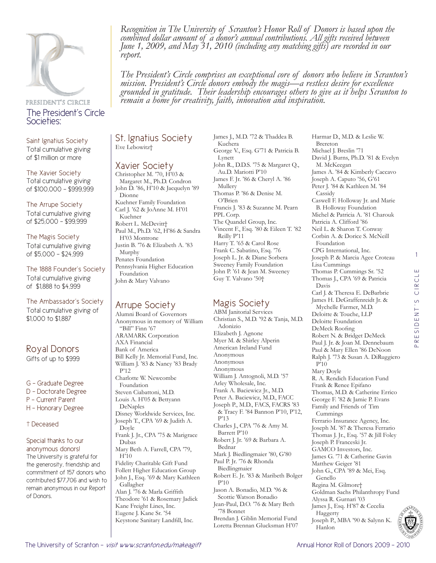

## PRESIDENT'S CIRCLE The President's Circle Societies:

Saint Ignatius Society Total cumulative giving of \$1 million or more

The Xavier Society Total cumulative giving of \$100,000 - \$999,999

The Arrupe Society Total cumulative giving of \$25,000 - \$99,999

#### The Magis Society Total cumulative giving of \$5,000 - \$24,999

The 1888 Founder's Society Total cumulative giving of \$1,888 to \$4,999

### The Ambassador's Society

Total cumulative giving of \$1,000 to \$1,887

# Royal Donors

Gifts of up to \$999

G - Graduate Degree

- D Doctorate Degree
- P Current Parent
- H Honorary Degree

### † Deceased

#### Special thanks to our anonymous donors!

The University is grateful for the generosity, friendship and commitment of 157 donors who contributed \$77,706 and wish to remain anonymous in our Report of Donors.

*Recognition in The University of Scranton's Honor Roll of Donors is based upon the combined dollar amount of a donor's annual contributions. All gifts received between June 1, 2009, and May 31, 2010 (including any matching gifts) are recorded in our report.* 

*The President's Circle comprises an exceptional core of donors who believe in Scranton's mission. President's Circle donors embody the magis—a restless desire for excellence grounded in gratitude. Their leadership encourages others to give as it helps Scranton to remain a home for creativity, faith, innovation and inspiration.*

St. Ignatius Society Eve Lebowitz†

## Xavier Society

Christopher M. '70, H'03 & Margaret M., Ph.D. Condron John D. '86, H'10 & Jacquelyn '89 Dionne Kuehner Family Foundation Carl J. '62 & JoAnne M. H'01 Kuehner Robert L. McDevitt† Paul M., Ph.D. '62, H'86 & Sandra H'03 Montrone Justin B. '76 & Elizabeth A. '83 Murphy Penates Foundation Pennsylvania Higher Education Foundation John & Mary Valvano

## Arrupe Society

Alumni Board of Governors Anonymous in memory of William "Bill" Finn '67 ARAMARK Corporation AXA Financial Bank of America Bill Kelly Jr. Memorial Fund, Inc. William J. '83 & Nancy '83 Brady P'12 Charlotte W. Newcombe Foundation Steven Ciabattoni, M.D. Louis A. H'05 & Bettyann DeNaples Disney Worldwide Services, Inc. Joseph T., CPA '69 & Judith A. Doyle Frank J. Jr., CPA '75 & Marigrace Dubas Mary Beth A. Farrell, CPA '79, H'10 Fidelity Charitable Gift Fund Follett Higher Education Group John J., Esq. '69 & Mary Kathleen Gallagher Alan J. '76 & Marla Griffith Theodore '61 & Rosemary Jadick Kane Freight Lines, Inc.

James J., M.D. '72 & Thaddea B. Kuchera George V., Esq. G'71 & Patricia B. Lynett John R., D.D.S. '75 & Margaret Q., Au.D. Mariotti P'10 James F. Jr. '86 & Cheryl A. '86 Mullery Thomas P. '86 & Denise M. O'Brien Francis J. '83 & Suzanne M. Pearn PPL Corp. The Quandel Group, Inc. Vincent F., Esq. '80 & Eileen T. '82 Reilly P'11 Harry T. '65 & Carol Rose Frank C. Sabatino, Esq. '76 Joseph L. Jr. & Diane Sorbera Sweeney Family Foundation John P. '61 & Jean M. Sweeney Guy T. Valvano '50†

# Magis Society

ABM Janitorial Services Christian S., M.D. '92 & Tanja, M.D. Adonizio Elizabeth J. Agnone Myer M. & Shirley Alperin American Ireland Fund Anonymous Anonymous Anonymous William J. Antognoli, M.D. '57 Arley Wholesale, Inc. Frank A. Baciewicz Jr., M.D. Peter A. Baciewicz, M.D., FACC Joseph P., M.D., FACS, FACRS '83 & Tracy F. '84 Bannon P'10, P'12, P'13 Charles J., CPA '76 & Amy M. Barrett P'10 Robert J. Jr. '69 & Barbara A. Bednar Mark J. Biedlingmaier '80, G'80 Paul P. Jr. '76 & Rhonda Biedlingmaier Robert E. Jr. '83 & Maribeth Bolger P'10 Jason A. Bonadio, M.D. '96 & Scottie Watson Bonadio Jean-Paul, D.O. '76 & Mary Beth '78 Bonnet Brendan J. Giblin Memorial Fund Loretta Brennan Glucksman H'07

Harmar D., M.D. & Leslie W. Brereton Michael J. Breslin '71 David J. Burns, Ph.D. '81 & Evelyn M. McKeegan James A. '84 & Kimberly Caccavo Joseph A. Caputo '56, G'61 Peter J. '84 & Kathleen M. '84 Cassidy Caswell F. Holloway Jr. and Marie B. Holloway Foundation Michel & Patricia A. '81 Charouk Patricia A. Clifford '86 Neil L. & Sharon T. Conway Corbin A. & Dorice S. McNeill Foundation CPG International, Inc. Joseph P. & Marcia Agee Croteau Lisa Cummings Thomas P. Cummings Sr. '52 Thomas J., CPA '69 & Patricia Davis Carl J. & Theresa E. DeBarbrie James H. DeGraffenreidt Jr. & Mychelle Farmer, M.D. Deloitte & Touche, LLP Deloitte Foundation DeMeck Roofing Robert N. & Bridget DeMeck Paul J. Jr. & Joan M. Dennebaum Paul & Mary Ellen '86 DeNoon Ralph J. '73 & Susan A. DiRuggiero P'10 Mary Doyle R. A. Rendich Education Fund Frank & Renee Epifano Thomas, M.D. & Catherine Errico George F. '82 & Jamie P. Evans Family and Friends of Tim Cummings Ferrario Insurance Agency, Inc. Joseph M. '87 & Theresa Ferrario Thomas J. Jr., Esq. '57 & Jill Foley Joseph P. Franceski Jr. GAMCO Investors, Inc. James G. '71 & Catherine Gavin Matthew Geiger '81 John G., CPA '89 & Mei, Esq. Genello Regina M. Gilmore† Goldman Sachs Philanthropy Fund Alyssa R. Gurnari '03 James J., Esq. H'87 & Cecelia Haggerty Joseph P., MBA '90 & Salynn K. Hanlon

1

Ш

CIRCL

PRESIDENT'S CIRCLE

RESIDENT'S

Eugene J. Kane Sr. '54 Keystone Sanitary Landfill, Inc.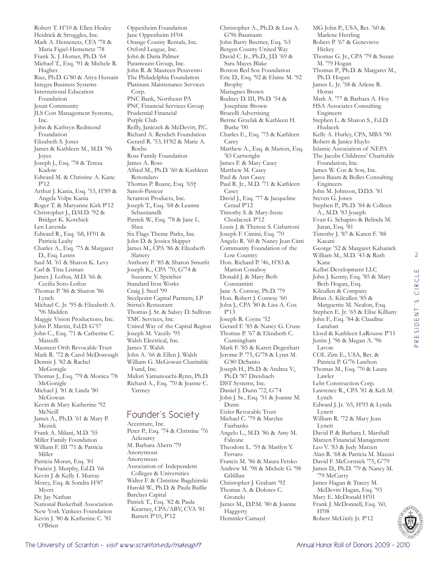Robert T. H'10 & Ellen Healey Heidrick & Struggles, Inc. Mark A. Hemenetz, CFA '78 & Maria Figiel-Hemenetz '78 Frank X. J. Homer, Ph.D. '64 Michael T., Esq. '91 & Michele R. Hughes Riaz, Ph.D. G'80 & Atiya Hussain Integra Business Systems International Education Foundation Jesuit Community JLS Cost Management Systems, Inc. John & Kathryn Redmond Foundation Elizabeth S. Jones James & Kathleen M., M.D. '96 Joyce Joseph J., Esq. '78 & Teresa Kadow Edward M. & Christine A. Kane P'12 Arthur J. Kania, Esq. '53, H'89 & Angela Volpe Kania Roger T. & Maryanne Kirk P'12 Christopher J., D.M.D. '92 & Bridget K. Kotchick Len Lavenda Edward R., Esq. '68, H'01 & Patricia Leahy Charles A., Esq. '75 & Margaret D., Esq. Lenns Saul M. '61 & Sharon K. Levy Carl & Tina Lisman James J. Loftus, M.D. '66 & Cecilia Soto-Loftus Thomas P. '86 & Sharon '86 Lynch Michael C. Jr. '95 & Elizabeth A. '96 Madden Maggie Vision Productions, Inc. John P. Martin, Ed.D. G'57 John C., Esq. '71 & Catherine C. Mascelli Maureen Orth Revocable Trust Mark R. '72 & Carol McDonough Dennis J. '82 & Rachel McGonigle Thomas J., Esq. '79 & Monica '78 McGonigle Michael J. '81 & Linda '80 McGowan Kevin & Mary Katherine '92 McNeill James A., Ph.D. '61 & Mary P. Mezick Frank A. Milani, M.D. '55 Miller Family Foundation William F. III '71 & Patricia Miller Patricia Moran, Esq. '81 Francis J. Murphy, Ed.D. '66 Kevin J. & Kelly I. Murray Morey, Esq. & Sondra H'87 Myers Dr. Jay Nathan National Basketball Association New York Yankees Foundation Kevin J. '80 & Katherine C. '81

Oppenheim Foundation Jane Oppenheim H'04 Orange County Rentals, Inc. Oxford League, Inc. John & Daria Palmer Paramount Group, Inc. John R. & Maureen Pesavento The Philadelphia Foundation Platinum Maintenance Services Corp. PNC Bank, Northeast PA PNC Financial Services Group Prudential Financial Purple Club Reilly, Janiczek & McDevitt, P.C. Richard A. Rendich Foundation Gerard R. '53, H'82 & Marie A. Roche Ross Family Foundation James A. Ross Alfred M., Ph.D. '60 & Kathleen Rotondaro Thomas P. Ruane, Esq. '65† Sanofi-Pasteur Scranton Products, Inc. Joseph T., Esq. '68 & Leanne Sebastianelli Patrick W., Esq. '78 & Jane L. Shea Six Flags Theme Parks, Inc. John D. & Jessica Skipper James M., CPA '86 & Elizabeth Slattery Anthony P. '85 & Sharon Smurfit Joseph K., CPA '70, G'74 & Suzanne V. Speicher Standard Iron Works Craig J. Steel '99 Steelpoint Capital Partners, LP Stirna's Restaurant Thomas J. Sr. & Salsey D. Sullivan TMC Services, Inc. United Way of the Capital Region Joseph M. Vaszily '95 Walsh Electrical, Inc. James T. Walsh John A. '66 & Ellen J. Walsh William G. McGowan Charitable Fund, Inc. Midori Yamanouchi-Rynn, Ph.D. Richard A., Esq. '70 & Jeanne C. Yarmey Founder's Society Accenture, Inc. Peter P., Esq. '74 & Christine '76

Walter F. & Christine Bagdzinski Harold W., Ph.D. & Paula Baillie Kearney, CPA/ABV, CVA '81 Sara Mayes Blake Boston Red Sox Foundation Eric D., Esq. '92 & Elaine M. '92 Brophy Mariagnes Brown Rodney D. III, Ph.D. '54 & Josephine Brown Brucelli Advertising Bernie Grzelak & Kathleen H. Burke '00 Charles E., Esq. '75 & Kathleen Carey Matthew A., Esq. & Marion, Esq. '83 Cartwright James F. & Mary Casey Matthew M. Casey Paul & Ann Casey Paul R. Jr., M.D. '71 & Kathleen Casey David J., Esq. '77 & Jacqueline Ceraul P'12 Timothy S. & Mary-Irene Chodaczek P'12 Louis J. & Therese S. Ciabattoni Joseph F. Cimini, Esq. '70 Angelo R. '60 & Nancy Jean Cinti Community Foundation of the Low Country Hon. Richard P. '46, H'83 & Marion Conaboy Donald J. & Mary Beth Constantini Jane A. Conway, Ph.D. '79 Hon. Robert J. Conway '60 John J., CPA '80 & Lisa A. Cox P'13 Joseph R. Coyne '52 Gerard F. '85 & Nancy G. Cruse Thomas P. '67 & Elizabeth C. Cunningham Mark F. '85 & Karen Degenhart Jerome P. '75, G'78 & Lynn M. G'80 DeSanto Joseph H., Ph.D. & Andrea V., Ph.D. '87 Dreisbach DST Systems, Inc. Daniel J. Dunn '72, G'74 John J. Sr., Esq. '51 & Joanne M. Dunn Eisler Revocable Trust Michael C. '79 & Marylee Fairbanks Angelo L., M.D. '86 & Amy M. Falcone Theodore L. '59 & Marilyn Y. Ferraro Francis M. '86 & Maura Fetsko Andrew M. '98 & Michele G. '98 Gilfillan Christopher J. Graham '92 Thomas A. & Dolores C. Groncki James M., D.P.M. '80 & Joanne Haggerty Hemmler Camayd

Christopher A., Ph.D. & Lisa A.

G'96 Baumann John Barry Beemer, Esq. '63 Bergen County United Way David C. Jr., Ph.D., J.D. '69 & MG John P., USA, Ret. '60 & Marlene Herrling Robert P. '67 & Genevieve Hickey Thomas G. Jr., CPA '79 & Susan M. '79 Hogan Thomas P., Ph.D. & Margaret M., Ph.D. Hogan James L. Jr. '58 & Arlene R. Horan Mark A. '77 & Barbara A. Hoy HSA Associates Consulting Engineers Stephen L. & Sharon S., Ed.D. Hudacek Kelly A. Hurley, CPA, MBA '90 Robert & Janice Huylo Islamic Association of NEPA The Jacobs Childrens' Charitable Foundation, Inc. James W. Cox & Son, Inc. Jaros Baum & Bolles Consulting Engineers John M. Johnson, D.D.S. '81 Steven G. Jones Stephen P., Ph.D. '84 & Colleen A., M.D. '83 Joseph Evan G. Schapiro & Belinda M. Juran, Esq. '81 Timothy J. '87 & Karen F. '88 Kacani George '52 & Margaret Kahanick William M., M.D. '43 & Ruth Kane Kelbri Development LLC John J. Kenny, Esq. '85 & Mary Beth Hogan, Esq. Kilcullen & Company Brian A. Kilcullen '85 & Marguerite M. Nealon, Esq. Stephen E. Jr. '65 & Elise Killiany John F., Esq. '84 & Claudine Lanahan Lloyd & Kathleen LaRousse P'11 Justin J. '96 & Megan A. '96 Lavoie COL Zim E., USA, Ret. & Patricia P. G'76 Lawhon Thomas M., Esq. '70 & Laura Lawler Lehr Construction Corp. Lawrence R., CPA '81 & Keli M. Lynch Edward J. Jr. '65, H'93 & Lynda Lynett William R. '72 & Mary Jean Lynett David P. & Barbara I. Marshall Marzen Financial Management Leo V. '83 & Judy Marzen Alan R. '68 & Patricia M. Mazzei David F. McCormick '75, G'79 James D., Ph.D. '79 & Nancy M. '79 McCurry James Hagan & Tracey M. McDevitt Hagan, Esq. '93 Mary E. McDonald H'01 Frank J. McDonnell, Esq. '60, H'08 Robert McGinly Jr. P'12

Ackourey M. Barbara Ahern '79 Anonymous Anonymous

Barclays Capital

Association of Independent Colleges & Universities

Patrick T., Esq. '82 & Paula

Barrett P'10, P'12

O'Brien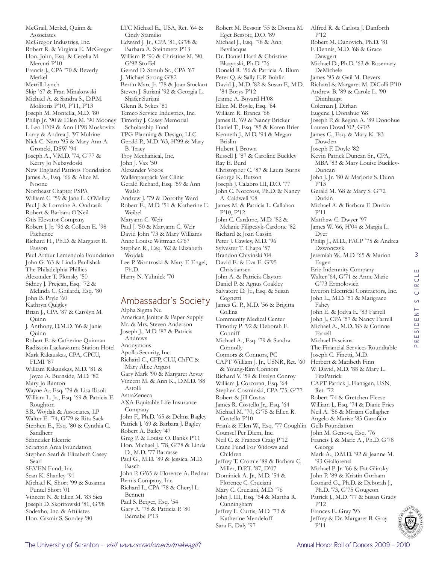McGrail, Merkel, Quinn & Associates McGregor Industries, Inc. Robert R. & Virginia E. McGregor Hon. John, Esq. & Cecelia M. Mercuri P'10 Francis J., CPA '70 & Beverly Merkel Merrill Lynch Skip '67 & Fran Minakowski Michael A. & Sandra S., D.P.M. Molitoris P'10, P'11, P'13 Joseph M. Montella, M.D. '80 Philip Jr. '90 & Ellen M. '90 Mooney I. Leo H'09 & Ann H'98 Moskovitz Larry & Andrea J. '97 Mulrine Nick C. Naro '95 & Mary Ann A. Groncki, DSW '94 Joseph A., V.M.D. '74, G'77 & Kerry Jo Nebzydoski New England Patriots Foundation James A., Esq. '66 & Alice M. Noone Northeast Chapter PSPA William C. '59 & Jane L. O'Malley Paul J. & Lorraine A. Ondrasik Robert & Barbara O'Neil Otis Elevator Company Robert J. Jr. '96 & Colleen E. '98 Pachence Richard H., Ph.D. & Margaret R. Passon Paul Arthur Lamendola Foundation John G. '63 & Linda Paulishak The Philadelphia Phillies Alexander T. Plonsky '50 Sidney J. Prejean, Esq. '72 & Melinda C. Ghilardi, Esq. '80 John B. Pryle '60 Kathryn Quigley Brian J., CPA '87 & Carolyn M. Quinn J. Anthony, D.M.D. '66 & Janie Quinn Robert E. & Catherine Quinnan Radisson Lackawanna Station Hotel Mark Rakauskas, CPA, CPCU, FLMI '87 William Rakauskas, M.D. '81 & Joyce A. Burnside, M.D. '82 Mary Jo Ranton Wayne A., Esq. '79 & Lisa Risoli William L. Jr., Esq. '69 & Patricia E. Roughton S.R. Wojdak & Associates, LP Walter E. '74, G'79 & Rita Sack Stephen E., Esq. '80 & Cynthia C. Sandherr Schneider Electric Scranton Area Foundation Stephen Searl & Elizabeth Casey Searl SEVEN Fund, Inc. Sean K. Shanley '91 Michael K. Short '99 & Susanna Puntel Short '01 Vincent N. & Ellen M. '83 Sica Joseph D. Skoritowski '81, G'98 Sodexho, Inc. & Affiliates

LTC Michael E., USA, Ret. '64 & Cindy Stamilio Edward J. Jr., CPA '81, G'98 & Barbara A. Steinmetz P'13 William P. '90 & Christine M. '90, G'92 Stoffel Gerard D. Straub Sr., CPA '67 J. Michael Strong G'82 Bertin Marc Jr. '78 & Joan Stuckart Steven J. Suriani '92 & Georgia L. Shafer Suriani Glenn R. Sykes '81 Temco Service Industries, Inc. Timothy J. Casey Memorial Scholarship Fund TPG Planning & Design, LLC Gerald P., M.D. '63, H'99 & Mary B. Tracy Troy Mechanical, Inc. John J. Vax '50 Alexander Vozos Wallenpaupack Vet Clinic Gerald Richard, Esq. '59 & Ann Walsh Andrew J. '79 & Dorothy Ward Robert E., M.D. '51 & Katherine E. Weibel Maryann C. Weir Paul J. '50 & Maryann C. Weir David John '73 & Mary Williams Anne Louise Wittman G'67 Stephen R., Esq. '62 & Elizabeth Wojdak Lee P. Wontroski & Mary F. Engel, Ph.D. Harry N. Yuhnick '70

### Ambassador's Society

Alpha Sigma Nu American Janitor & Paper Supply Mr. & Mrs. Steven Anderson Joseph J., M.D. '87 & Patricia Andrews Anonymous Apollo Security, Inc. Richard C., CFP, CLU, ChFC & Mary Alice Argust Gary Mark '90 & Margaret Arvay Vincent M. & Ann K., D.M.D. '88 Astolfi AstraZeneca AXA Equitable Life Insurance Company John F., Ph.D. '65 & Delma Bagley Patrick J. '69 & Barbara J. Bagley Robert A. Bailey '47 Greg P. & Louise O. Banks P'11 Hon. Michael J. '78, G'78 & Linda D., M.D. '77 Barrasse Paul G., M.D. '89 & Jessica, M.D. Basch John P. G'65 & Florence A. Bednar Bemis Company, Inc. Richard I., CPA '78 & Cheryl L. Bennett Paul S. Berger, Esq. '54 Gary A. '78 & Patricia P. '80 Bernabe P'13

Eget Bessoir, D.O. '89 Michael J., Esq. '78 & Ann Bevilacqua Dr. Daniel Hartl & Christine Blazynski, Ph.D. '76 Donald R. '56 & Patricia A. Blum Peter Q. & Sally E.P. Bohlin David J., M.D. '82 & Susan F., M.D. '84 Borys P'12 Jeanne A. Bovard H'08 Ellen M. Boyle, Esq. '84 William R. Branca '68 James R. '69 & Nancy Bricker Daniel T., Esq. '85 & Karen Brier Kenneth J., M.D. '94 & Megan Brislin Hubert J. Brown Russell J. '87 & Caroline Buckley Ray E. Burd Christopher C. '87 & Laura Burns George K. Butson Joseph J. Calabro III, D.O. '77 John C. Norcross, Ph.D. & Nancy A. Caldwell '08 James M. & Patricia L. Callahan P'10, P'12 John C. Cardone, M.D. '82 & Melanie Filipczyk-Cardone '82 Richard & Joan Cassin Peter J. Cawley, M.D. '96 Sylvester T. Chapa '57 Brandon Chivinski '04 David E. & Eva E. G'95 Christiansen John A. & Patricia Clayton Daniel P. & Agnus Coakley Salvatore D. Jr., Esq. & Susan Cognetti James G. P., M.D. '56 & Brigitta Collins Community Medical Center Timothy P. '92 & Deborah E. Conniff Michael A., Esq. '79 & Sandra Connolly Connors & Connors, PC CAPT William J. Jr., USNR, Ret. '60 & Young-Rim Connors Richard V. '59 & Evelyn Conroy William J. Corcoran, Esq. '64 Stephen Cosminski, CPA '75, G'77 Robert & Jill Costas James R. Costello Jr., Esq. '64 Michael M. '70, G'75 & Ellen R. Costello P'10 Frank & Ellen W., Esq. '77 Coughlin Gelb Foundation Counsel Per Diem, Inc. Neil C. & Frances Craig P'12 Crane Fund For Widows and Children Jeffrey T. Cromie '89 & Barbara C. Miller, D.P.T. '87, D'07 Dominick A. Jr., M.D. '54 & Florence C. Cruciani Mary C. Cruciani, M.D. '76 John J. III, Esq. '64 & Martha R. Cunningham Jeffrey L. Curtis, M.D. '73 & Katherine Mendeloff Sara E. Daly '97

Robert M. Bessoir '55 & Donna M. Alfred R. & Carlota J. Danforth P'12 Robert M. Danovich, Ph.D. '81 F. Dennis, M.D. '68 & Grace Dawgert Michael D., Ph.D. '63 & Rosemary DeMichele James '95 & Gail M. Devers Richard & Margaret M. DiColli P'10 Andrew B. '89 & Carole L. '90 Dinnhaupt Coleman J. Dirhan Eugene J. Donahue '68 Joseph P. & Regina A. '89 Donohue Lauren Dowd '02, G'03 James C., Esq. & Mary K. '83 Dowden Joseph F. Doyle '82 Kevin Patrick Duncan Sr., CPA, MBA '83 & Mary Louise Buckley-Duncan John J. Jr. '80 & Marjorie S. Dunn P'13 Gerald M. '68 & Mary S. G'72 Durkin Michael A. & Barbara F. Durkin P'11 Matthew C. Dwyer '97 James W. '66, H'04 & Margia L. Dyer Philip J., M.D., FACP '75 & Andrea Dzwonczyk Jeremiah W., M.D. '65 & Marion Eagen Erie Indemnity Company Walter '64, G'71 & Anne Marie G'73 Ermolovich Everon Electrical Contractors, Inc. John L., M.D. '51 & Marigrace Fahey John E. & Jodya E. '83 Farrell John J., CPA '57 & Nancy Farrell Michael A., M.D. '83 & Corinne Farrell Michael Fasciana The Financial Services Roundtable Joseph C. Finetti, M.D. Herbert & Maribeth Finn W. David, M.D. '88 & Mary L. FitzPatrick CAPT Patrick J. Flanagan, USN, Ret. '72 Robert '74 & Gretchen Fleese William J., Esq. '74 & Diane Fries Neil A. '56 & Miriam Gallagher Angelo & Marise '83 Garofalo John M. Genova, Esq. '76 Francis J. & Marie A., Ph.D. G'78 George Mark A., D.M.D. '92 & Jeanne M. '93 Giallorenzi Michael P. Jr. '66 & Pat Glinsky John P. '89 & Kristin Gorham Leonard G., Ph.D. & Deborah J., Ph.D. '73, G'75 Gougeon Patrick J., M.D. '77 & Susan Grady P'12 Frances E. Gray '93 Jeffrey & Dr. Margaret B. Gray P'11



3

Ш  $\frac{1}{\mathbf{C}}$  $CIR$ 

PRESIDENT'S CIRCLE

ESIDENT'S

 $\alpha$  $\Delta$ 

Hon. Casmir S. Sondey '80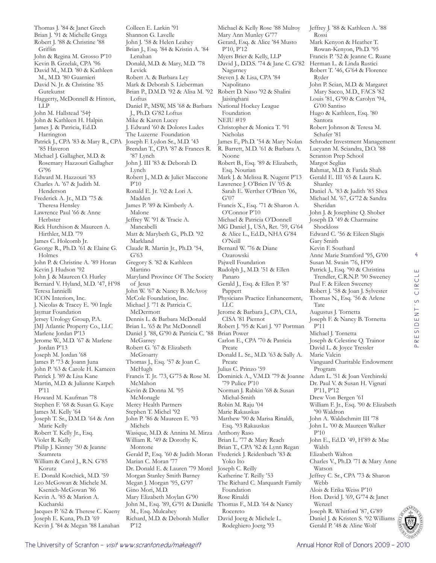Thomas J. '84 & Janet Grech Brian J. '91 & Michelle Grega Robert J. '88 & Christine '88 Griffin John & Regina M. Grosso P'10 Kevin B. Grzelak, CPA '96 David M., M.D. '80 & Kathleen M., M.D. '80 Guarnieri David N. Jr. & Christine '85 Gutekunst Haggerty, McDonnell & Hinton, LLP John M. Hallstead '54† John & Kathleen H. Halpin James J. & Patricia, Ed.D. Harrington Patrick J., CPA '83 & Mary R., CPA '85 Haveron Michael J. Gallagher, M.D. & Rosemary Hazzouri Gallagher G'96 Edward M. Hazzouri '83 Charles A. '67 & Judith M. Henderson Frederick A. Jr., M.D. '75 & Theresa Hensley Lawrence Paul '66 & Anne Herbster Rick Hutchison & Maureen A. Hirthler, M.D. '79 James C. Holcomb Jr. George R., Ph.D. '61 & Elaine G. Holmes John P. & Christine A. '89 Horan Kevin J. Hudson '92 John J. & Maureen O. Hurley Bernard V. Hyland, M.D. '47, H'98 Teresa Iannielli ICON Interiors, Inc. J. Nicolas & Tracey E. '90 Ingle Jaymar Foundation Jersey Urology Group, P.A. JMJ Atlantic Property Co., LLC Marlene Jordan P'13 Jerome W., M.D. '67 & Marlene Jordan P'13 Joseph M. Jordan '68 James P. '73 & Joann Juna John P. '63 & Carole H. Kameen Patrick J. '89 & Lisa Kane Martin, M.D. & Julianne Karpeh P'11 Howard M. Kaufman '78 Stephen F. '68 & Susan G. Kaye James M. Kelly '64 Joseph T. Sr., D.M.D. '64 & Ann Marie Kelly Robert T. Kelly Jr., Esq. Violet R. Kelly Philip J. Kinney '50 & Jeanne Szamreta William & Carol J., R.N. G'85 Korutz E. Donald Kotchick, M.D. '59 Leo McGowan & Michele M. Ksenich-McGowan '86 Kevin A. '85 & Marion A. Kucharski Jacques P. '62 & Therese C. Kueny Joseph E. Kuna, Ph.D. '69

Shannon G. Lavelle John J. '58 & Helen Leahey Brian J., Esq. '84 & Kristin A. '84 Lenahan Donald, M.D. & Mary, M.D. '78 Levick Robert A. & Barbara Ley Mark & Deborah S. Lieberman Brian P., D.M.D. '92 & Alisa M. '92 Loftus Daniel P., MSW, MS '68 & Barbara J., Ph.D. G'82 Loftus Mike & Karen Lucey J. Edward '60 & Dolores Ludes The Luzerne Foundation Joseph F. Lydon Sr., M.D. '43 Brendan T., CPA '87 & Frances R. '87 Lynch John J. III '83 & Deborah D. Lynch Robert J., M.D. & Juliet Maccone P'10 Ronald E. Jr. '02 & Lori A. Madden James P. '89 & Kimberly A. Malone Jeffrey W. '91 & Tracie A. Mancabelli Matt & Marybeth G., Ph.D. '92 Markland Claude R. Martin Jr., Ph.D. '54, G'63 Gregory S. '82 & Kathleen Martino Maryland Province Of The Society of Jesus John W. '67 & Nancy B. McAvoy McCole Foundation, Inc. Michael J. '71 & Patricia C. McDermott Dennis L. & Barbara McDonald Brian L. '65 & Pat McDonnell Daniel J. '88, G'90 & Patricia C. '88 Brian Power **McGarrey** Robert G. '67 & Elizabeth **McGroarty** Thomas J., Esq. '57 & Joan C. McHugh Francis T. Jr. '73, G'75 & Rose M. McMahon Kevin & Donna M. '95 McMonagle Mercy Health Partners Stephen T. Michel '92 John P. '86 & Maureen E. '93 Michels Wasique, M.D. & Annina M. Mirza William R. '49 & Dorothy K. Montone Gerald P., Esq. '60 & Judith Moran Marian C. Moran '77 Dr. Donald E. & Lauren '79 Morel Morgan Stanley Smith Barney Megan J. Morgan '95, G'97 Gino Mori, M.D. Mary Elizabeth Moylan G'90 John M., Esq. '89, G'91 & Danielle M., Esq. Mulcahey Richard, M.D. & Deborah Muller

Colleen E. Larkin '91

Michael & Kelly Rose '88 Mulroy Mary Ann Munley G'77 Gerard, Esq. & Alice '84 Musto P'10, P'12 Myers Brier & Kelly, LLP David J., D.D.S. '74 & Jane C. G'82 Nagurney Steven J. & Lisa, CPA '84 Napolitano Robert D. Naso '92 & Shalini Jaisinghani National Hockey League Foundation NEIU #19 Christopher & Monica T. '91 Nicholas James F., Ph.D. '54 & Mary Nolan R. Barrett, M.D. '61 & Barbara A. Noone Robert B., Esq. '89 & Elizabeth, Esq. Nourian Mark J. & Melissa R. Nugent P'13 Lawrence J. O'Brien IV '05 & Sarah E. Werther O'Brien '06, G'07 Francis X., Esq. '71 & Sharon A. O'Connor P'10 Michael & Patricia O'Donnell MG Daniel J., USA, Ret. '59, G'64 & Alice L., Ed.D., NHA G'84 O'Neill Bernard W. '76 & Diane Ozarowski Pajwell Foundation Rudolph J., M.D. '51 & Ellen Panaro Gerald J., Esq. & Ellen P. '87 Pappert Physicians Practice Enhancement, LLC Jerome & Barbara J., CPA, CIA, CISA '81 Piernot Robert J. '95 & Kari J. '97 Portman Carlon E., CPA '70 & Patricia Preate Donald L. Sr., M.D. '63 & Sally A. Preate Julius C. Prinzo '59 Dominick A., V.M.D. '79 & Joanne '79 Pulice P'10 Norman J. Rabkin '68 & Susan Michal-Smith Robin M. Raju '04 Marie Rakauskas Matthew '90 & Marisa Rinaldi, Esq. '93 Rakauskas Anthony Raso Brian L. '77 & Mary Reach Brian T., CPA '82 & Lynn Regan Frederick J. Reidenbach '83 & Yoko Ito Joseph C. Reilly Katherine T. Reilly '53 The Richard C. Marquardt Family Foundation Rose Rinaldi Thomas F., M.D. '64 & Nancy Rocereto David Joerg & Michele L. Rodeghiero Joerg '93

Jeffrey J. '88 & Kathleen A. '88 Rossi Mark Kenyon & Heather T. Rowan-Kenyon, Ph.D. '95 Francis P. '52 & Jeanne C. Ruane Herman L. & Linda Rustici Robert T. '46, G'64 & Florence Ryder John P. Scian, M.D. & Margaret Mary Sacco, M.D., FACS '82 Louis '81, G'90 & Carolyn '94, G'00 Santiso Hugo & Kathleen, Esq. '80 Santora Robert Johnson & Teresa M. Schafer '81 Schroder Investment Management Lucyann M. Sciandra, D.O. '88 Scranton Prep School Margot Seglias Rahmat, M.D. & Farida Shah Gerald E. III '65 & Laura K. Shanley Daniel A. '83 & Judith '85 Shea Michael M. '67, G'72 & Sandra Sheridan John J. & Josephine Q. Shober Joseph D. '49 & Charmaine Shockloss Edward C. '56 & Eileen Slagis Gary Smith Kevin F. Southard Anne Marie Stamford '95, G'00 Susan M. Swain '76, H'99 Patrick J., Esq. '90 & Christina Trendler, C.R.N.P. '90 Sweeney Paul F. & Eileen Sweeney Robert J. '58 & Joan J. Sylvester Thomas N., Esq. '56 & Arlene Tate Augustus J. Tornetta Joseph F. & Nancy B. Tornetta P'11 Michael J. Tornetta Joseph & Celestine Q. Trainor David L. & Joyce Tressler Marie Valcin Vanguard Charitable Endowment Program Adam L. '51 & Joan Verchinski Dr. Paul V. & Susan H. Vignati P'11, P'12 Drew Von Bergen '61 William F. Jr., Esq. '90 & Elizabeth '90 Waldron John A. Waldschmitt III '78 John L. '00 & Maureen Walker P'10 John E., Ed.D. '49, H'89 & Mae Walsh Elizabeth Walton Charles V., Ph.D. '71 & Mary Anne Watson Jeffrey C. Sr., CPA '73 & Sharon Webb Alois & Erika Weiss P'10 Hon. David J. '69, G'74 & Janet Wenzel Joseph R. Whitford '87, G'89 Daniel J. & Kristen S. '92 Williams Gerald P. '48 & Aline Wolf

4

Ш

P'12

Kevin J. '84 & Megan '88 Lanahan